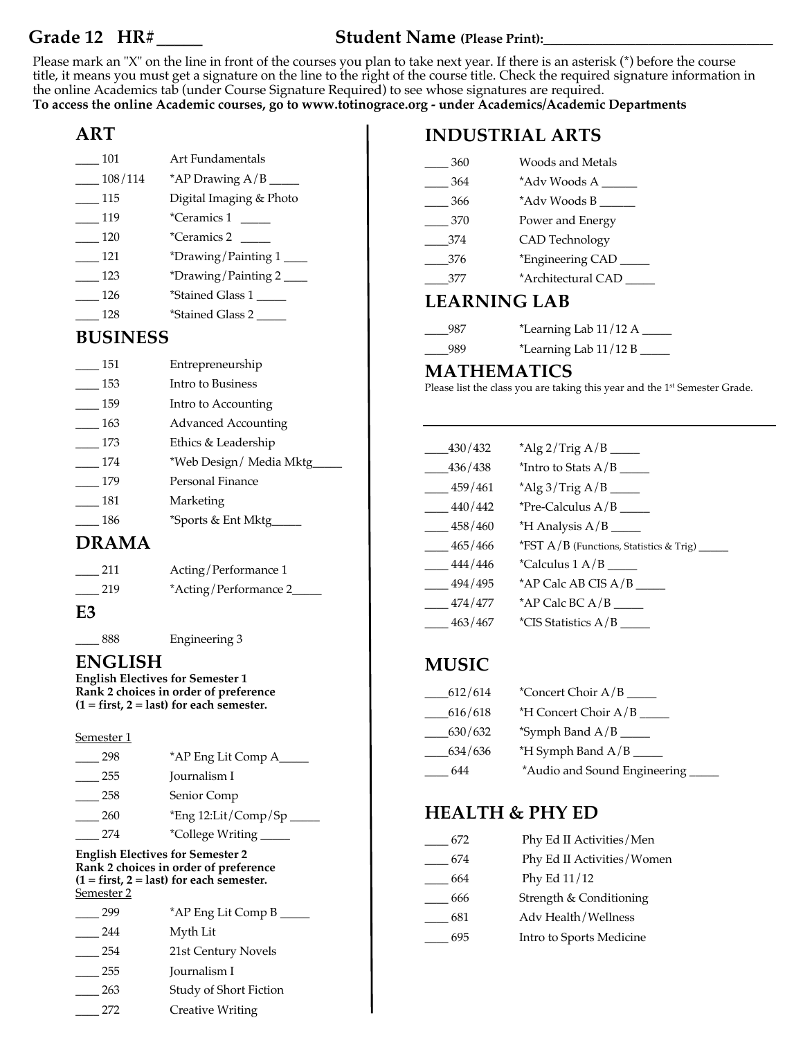### **Grade 12 HR#\_\_\_\_\_ Student Name (Please Print):\_\_\_\_\_\_\_\_\_\_\_\_\_\_\_\_\_\_\_\_\_\_\_\_\_\_\_\_\_\_\_\_\_\_\_**

Please mark an "X" on the line in front of the courses you plan to take next year. If there is an asterisk (\*) before the course title, it means you must get a signature on the line to the right of the course title. Check the required signature information in the online Academics tab (under Course Signature Required) to see whose signatures are required. **To access the online Academic courses, go to www.totinograce.org - under Academics/Academic Departments** 

# **ART**

| 101     | Art Fundamentals          |
|---------|---------------------------|
| 108/114 | *AP Drawing $A/B$ _       |
| 115     | Digital Imaging & Photo   |
| 119     | *Ceramics 1               |
| 120     | *Ceramics 2               |
| 121     | *Drawing/Painting $1\_\_$ |
| 123     | *Drawing/Painting $2$ $-$ |
| 126     | *Stained Glass 1          |
| 128     | *Stained Glass 2          |

# **BUSINESS**

| 151 | Entrepreneurship           |
|-----|----------------------------|
| 153 | Intro to Business          |
| 159 | Intro to Accounting        |
| 163 | <b>Advanced Accounting</b> |
| 173 | Ethics & Leadership        |
| 174 | *Web Design/Media Mktg     |
| 179 | Personal Finance           |
| 181 | Marketing                  |
| 186 | *Sports & Ent Mktg         |
|     |                            |

### **DRAMA**

| 211 | Acting/Performance 1   |
|-----|------------------------|
| 219 | *Acting/Performance 2_ |
|     |                        |

**E3**

\_\_\_\_ 888 Engineering 3

# **ENGLISH**

**English Electives for Semester 1 Rank 2 choices in order of preference (1 = first, 2 = last) for each semester.** 

#### Semester 1

| 298 | *AP Eng Lit Comp A_    |
|-----|------------------------|
| 255 | Journalism I           |
| 258 | Senior Comp            |
| 260 | $*$ Eng 12:Lit/Comp/Sp |
| 274 | *College Writing       |

**English Electives for Semester 2 Rank 2 choices in order of preference (1 = first, 2 = last) for each semester.**  Semester 2

| 299 | *AP Eng Lit Comp B      |
|-----|-------------------------|
| 244 | Myth Lit                |
| 254 | 21st Century Novels     |
| 255 | Journalism I            |
| 263 | Study of Short Fiction  |
| 272 | <b>Creative Writing</b> |

# **INDUSTRIAL ARTS**

| 360                 | Woods and Metals   |
|---------------------|--------------------|
| 364                 | *Adv Woods A       |
| 366                 | *Adv Woods B       |
| 370                 | Power and Energy   |
| 374                 | CAD Technology     |
| 376                 | *Engineering CAD   |
| 377                 | *Architectural CAD |
| <b>LEARNING LAB</b> |                    |

#### \_\_\_\_987 \*Learning Lab 11/12 A \_\_\_\_\_ \_\_\_\_989 \*Learning Lab 11/12 B \_\_\_\_\_

#### **MATHEMATICS**

Please list the class you are taking this year and the 1<sup>st</sup> Semester Grade.

| $-430/432$ |                                                   |
|------------|---------------------------------------------------|
| _436/438   |                                                   |
| $-459/461$ |                                                   |
| $-440/442$ | <i>*Pre-Calculus A/B</i> $\_\_\_\_\_\$            |
| 458/460    |                                                   |
| $-465/466$ | *FST $A/B$ (Functions, Statistics & Trig) _______ |
| $-444/446$ |                                                   |
| $-494/495$ |                                                   |
| 474/477    |                                                   |
| 463/467    |                                                   |

# **MUSIC**

| 612/614 |                               |
|---------|-------------------------------|
| 616/618 |                               |
| 630/632 |                               |
| 634/636 |                               |
| 644     | *Audio and Sound Engineering_ |

# **HEALTH & PHY ED**

| 672 | Phy Ed II Activities/Men   |
|-----|----------------------------|
| 674 | Phy Ed II Activities/Women |
| 664 | Phy Ed 11/12               |
| 666 | Strength & Conditioning    |
| 681 | Adv Health/Wellness        |
| 695 | Intro to Sports Medicine   |